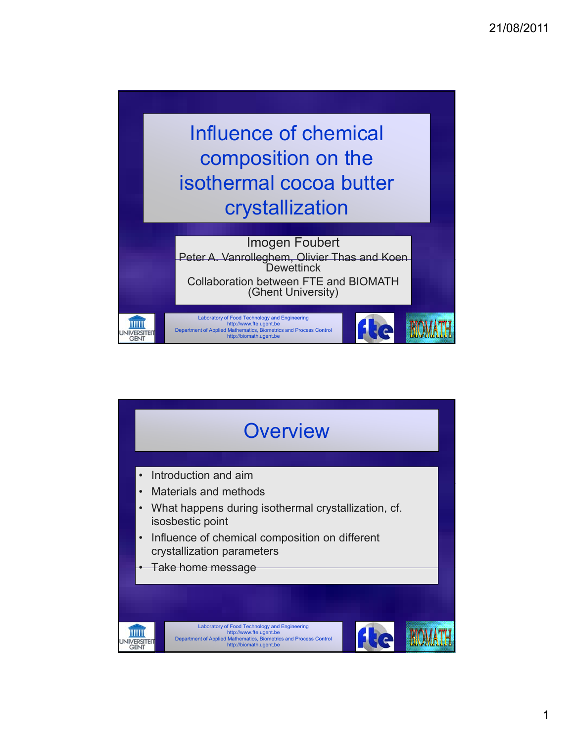

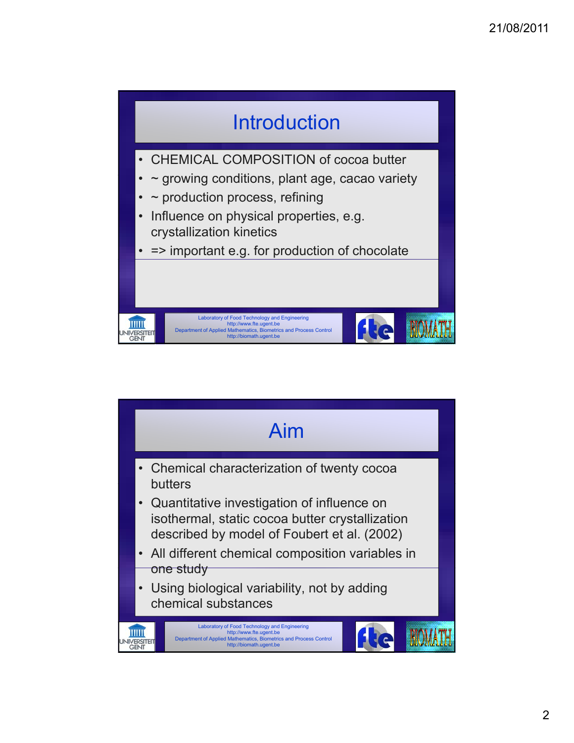

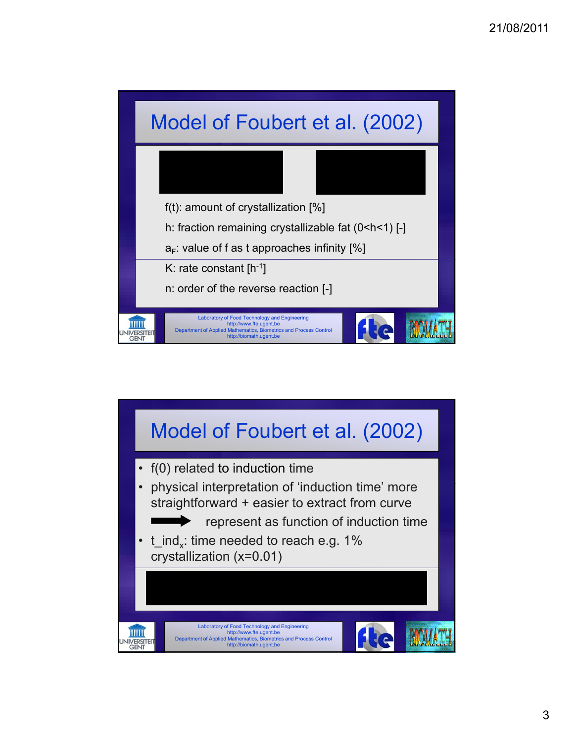

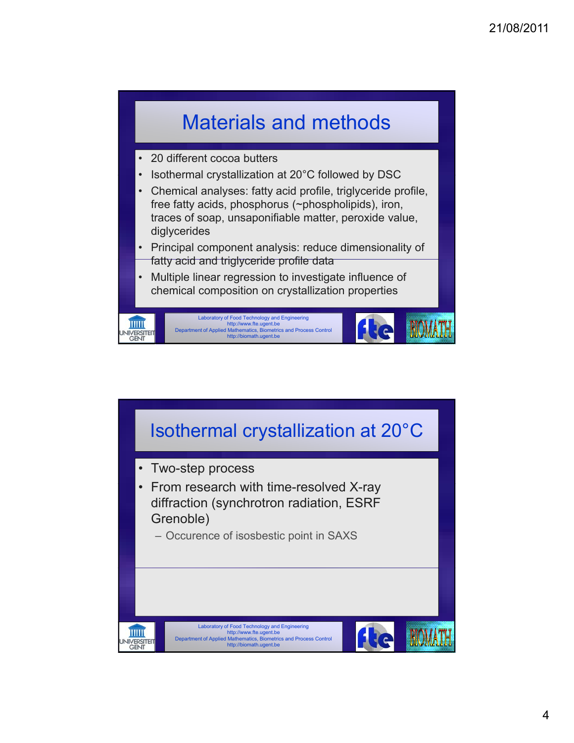

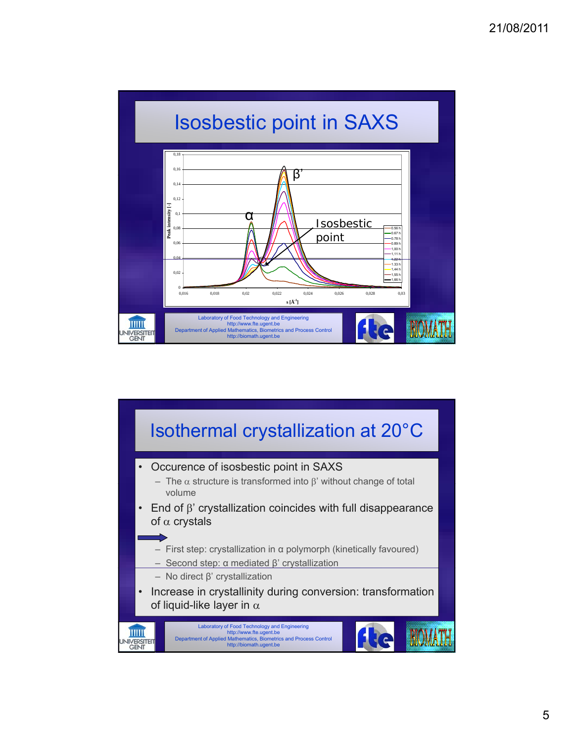

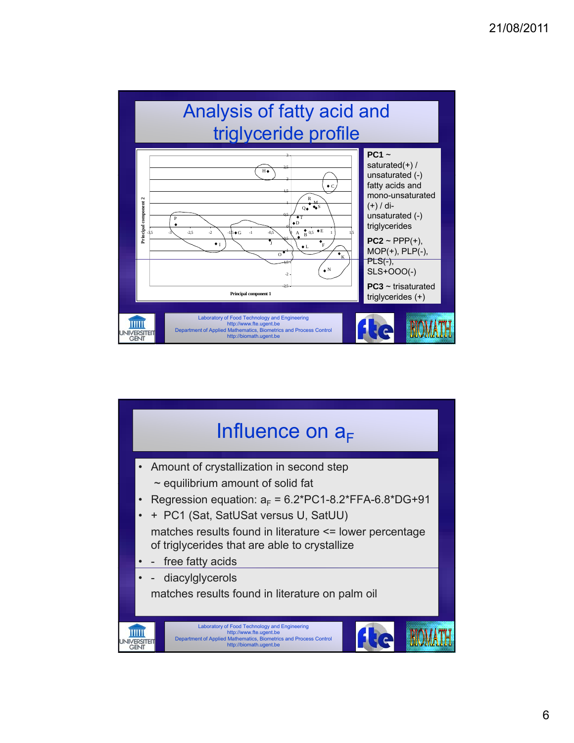

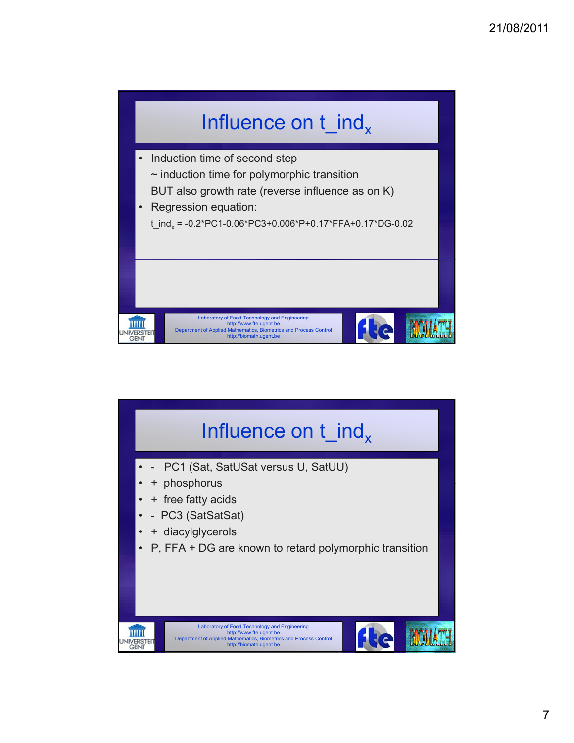

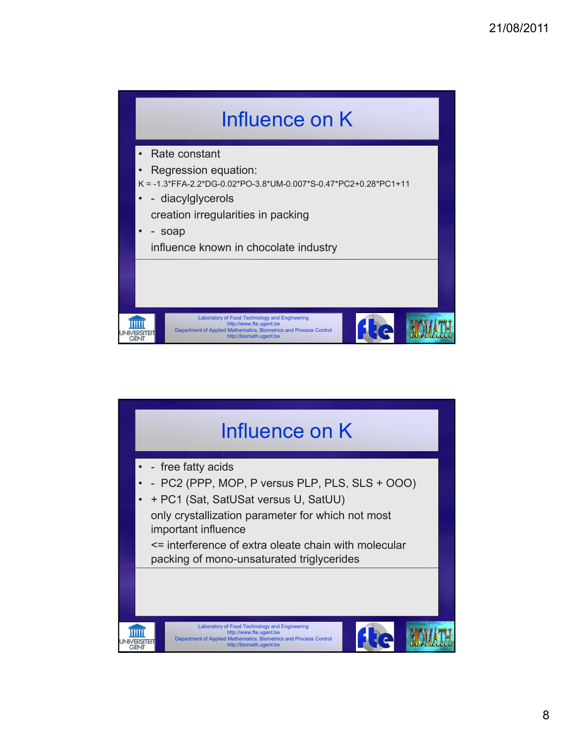

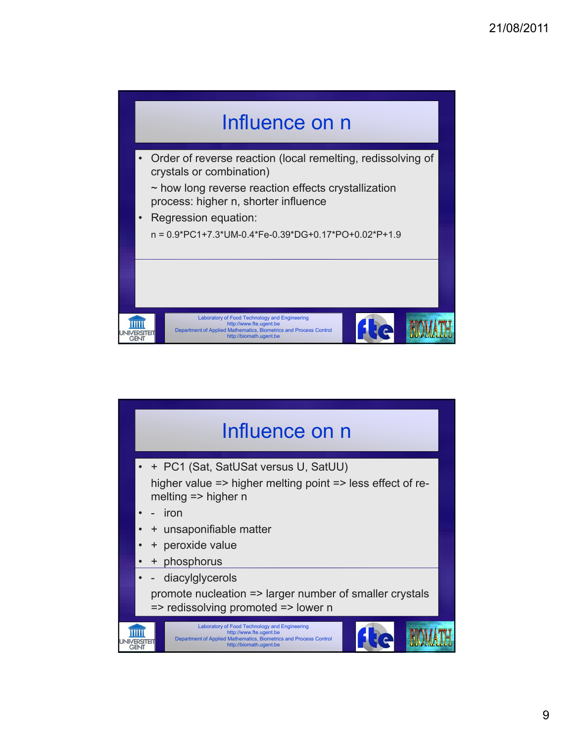